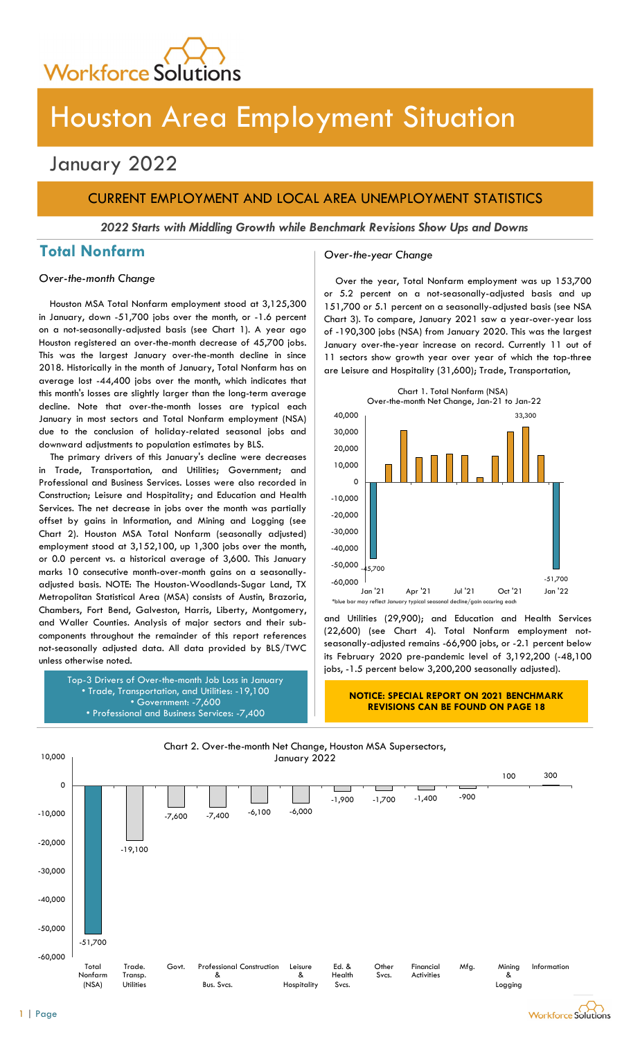

# Houston Area Employment Situation

## January 2022

## CURRENT EMPLOYMENT AND LOCAL AREA UNEMPLOYMENT STATISTICS

2022 Starts with Middling Growth while Benchmark Revisions Show Ups and Downs

## Total Nonfarm and Cover-the-year Change

Houston MSA Total Nonfarm employment stood at 3,125,300 in January, down -51,700 jobs over the month, or -1.6 percent on a not-seasonally-adjusted basis (see Chart 1). A year ago Houston registered an over-the-month decrease of 45,700 jobs. This was the largest January over-the-month decline in since 2018. Historically in the month of January, Total Nonfarm has on average lost -44,400 jobs over the month, which indicates that this month's losses are slightly larger than the long-term average decline. Note that over-the-month losses are typical each January in most sectors and Total Nonfarm employment (NSA) due to the conclusion of holiday-related seasonal jobs and downward adjustments to population estimates by BLS.

The primary drivers of this January's decline were decreases in Trade, Transportation, and Utilities; Government; and Professional and Business Services. Losses were also recorded in Construction; Leisure and Hospitality; and Education and Health Services. The net decrease in jobs over the month was partially offset by gains in Information, and Mining and Logging (see Chart 2). Houston MSA Total Nonfarm (seasonally adjusted) employment stood at 3,152,100, up 1,300 jobs over the month, or 0.0 percent vs. a historical average of 3,600. This January marks 10 consecutive month-over-month gains on a seasonallyadjusted basis. NOTE: The Houston-Woodlands-Sugar Land, TX Metropolitan Statistical Area (MSA) consists of Austin, Brazoria, Chambers, Fort Bend, Galveston, Harris, Liberty, Montgomery, and Waller Counties. Analysis of major sectors and their subcomponents throughout the remainder of this report references not-seasonally adjusted data. All data provided by BLS/TWC unless otherwise noted.

> Top-3 Drivers of Over-the-month Job Loss in January • Trade, Transportation, and Utilities: -19,100 • Government: -7,600 • Professional and Business Services: -7,400

Over-the-month Change Change Coverthe year, Total Nonfarm employment was up 153,700 or 5.2 percent on a not-seasonally-adjusted basis and up 151,700 or 5.1 percent on a seasonally-adjusted basis (see NSA Chart 3). To compare, January 2021 saw a year-over-year loss of -190,300 jobs (NSA) from January 2020. This was the largest January over-the-year increase on record. Currently 11 out of 11 sectors show growth year over year of which the top-three are Leisure and Hospitality (31,600); Trade, Transportation,



and Utilities (29,900); and Education and Health Services (22,600) (see Chart 4). Total Nonfarm employment notseasonally-adjusted remains -66,900 jobs, or -2.1 percent below its February 2020 pre-pandemic level of 3,192,200 (-48,100 jobs, -1.5 percent below 3,200,200 seasonally adjusted).

#### NOTICE: SPECIAL REPORT ON 2021 BENCHMARK REVISIONS CAN BE FOUND ON PAGE 18



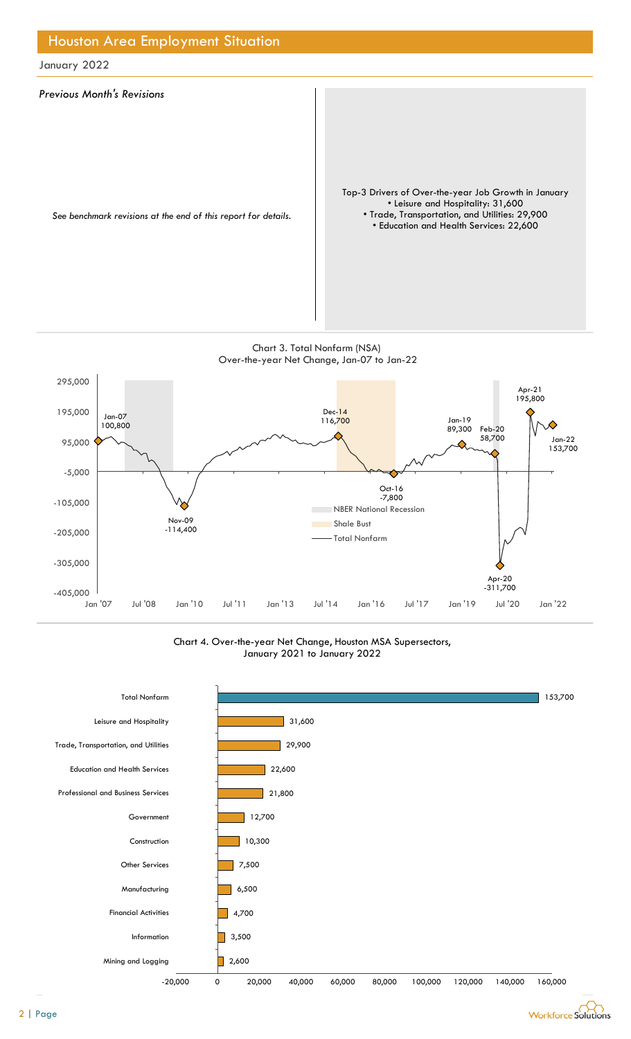

Chart 4. Over-the-year Net Change, Houston MSA Supersectors, January 2021 to January 2022



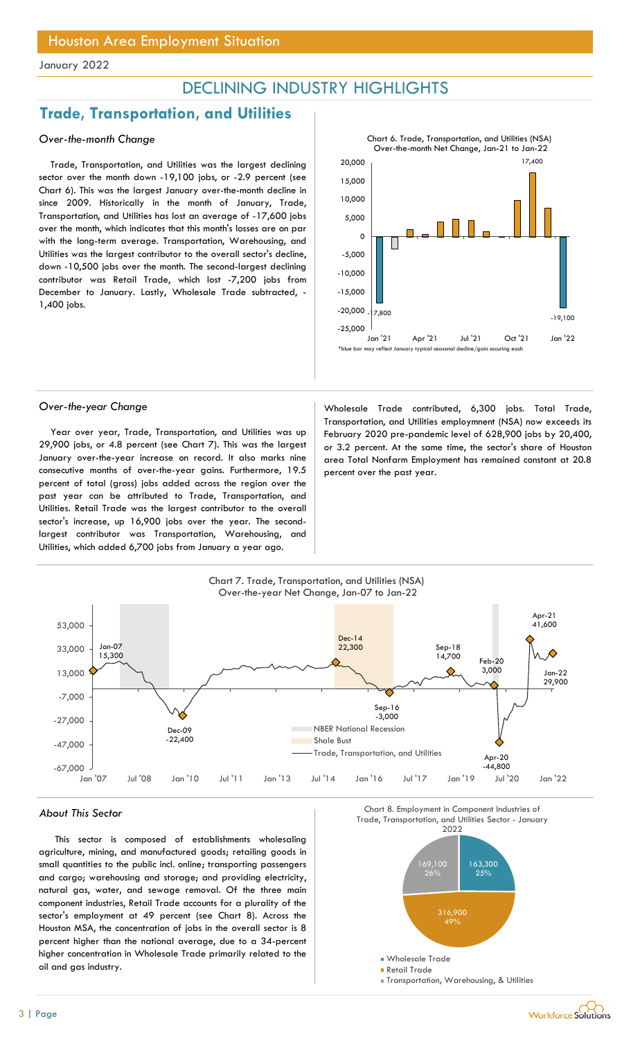## DECLINING INDUSTRY HIGHLIGHTS

## Trade, Transportation, and Utilities

## Over-the-month Change

Trade, Transportation, and Utilities was the largest declining sector over the month down -19,100 jobs, or -2.9 percent (see Chart 6). This was the largest January over-the-month decline in since 2009. Historically in the month of January, Trade, Transportation, and Utilities has lost an average of -17,600 jobs over the month, which indicates that this month's losses are on par with the long-term average. Transportation, Warehousing, and Utilities was the largest contributor to the overall sector's decline, down -10,500 jobs over the month. The second-largest declining contributor was Retail Trade, which lost -7,200 jobs from December to January. Lastly, Wholesale Trade subtracted, - 1,400 jobs.



Year over year, Trade, Transportation, and Utilities was up 29,900 jobs, or 4.8 percent (see Chart 7). This was the largest January over-the-year increase on record. It also marks nine consecutive months of over-the-year gains. Furthermore, 19.5 percent of total (gross) jobs added across the region over the past year can be attributed to Trade, Transportation, and Utilities. Retail Trade was the largest contributor to the overall sector's increase, up 16,900 jobs over the year. The secondlargest contributor was Transportation, Warehousing, and Utilities, which added 6,700 jobs from January a year ago.

Over-the-year Change Wholesale Trade contributed, 6,300 jobs. Total Trade, Transportation, and Utilities employmnent (NSA) now exceeds its February 2020 pre-pandemic level of 628,900 jobs by 20,400, or 3.2 percent. At the same time, the sector's share of Houston area Total Nonfarm Employment has remained constant at 20.8 percent over the past year.



#### About This Sector

This sector is composed of establishments wholesaling agriculture, mining, and manufactured goods; retailing goods in small quantities to the public incl. online; transporting passengers and cargo; warehousing and storage; and providing electricity, natural gas, water, and sewage removal. Of the three main component industries, Retail Trade accounts for a plurality of the sector's employment at 49 percent (see Chart 8). Across the Houston MSA, the concentration of jobs in the overall sector is 8 percent higher than the national average, due to a 34-percent higher concentration in Wholesale Trade primarily related to the oil and gas industry.

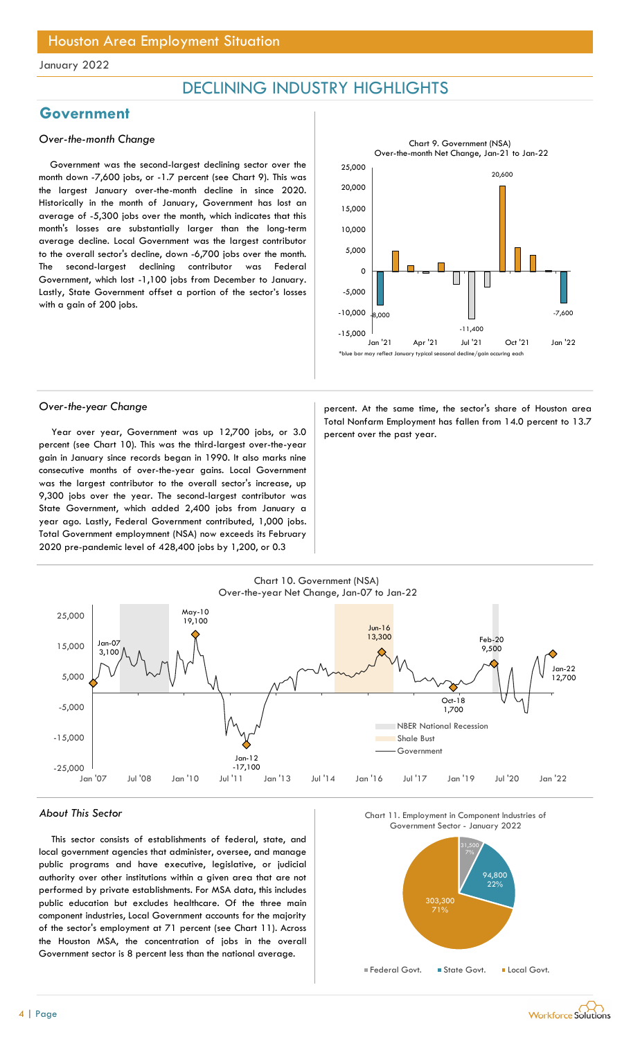## DECLINING INDUSTRY HIGHLIGHTS

## Government

## Over-the-month Change

Government was the second-largest declining sector over the month down -7,600 jobs, or -1.7 percent (see Chart 9). This was the largest January over-the-month decline in since 2020. Historically in the month of January, Government has lost an average of -5,300 jobs over the month, which indicates that this month's losses are substantially larger than the long-term average decline. Local Government was the largest contributor to the overall sector's decline, down -6,700 jobs over the month. The second-largest declining contributor was Federal Government, which lost -1,100 jobs from December to January. Lastly, State Government offset a portion of the sector's losses with a gain of 200 jobs.



Year over year, Government was up 12,700 jobs, or 3.0 percent over the past year. percent (see Chart 10). This was the third-largest over-the-year gain in January since records began in 1990. It also marks nine consecutive months of over-the-year gains. Local Government was the largest contributor to the overall sector's increase, up 9,300 jobs over the year. The second-largest contributor was State Government, which added 2,400 jobs from January a year ago. Lastly, Federal Government contributed, 1,000 jobs. Total Government employmnent (NSA) now exceeds its February 2020 pre-pandemic level of 428,400 jobs by 1,200, or 0.3

Over-the-year Change **percent.** At the same time, the sector's share of Houston area Total Nonfarm Employment has fallen from 14.0 percent to 13.7



#### About This Sector

This sector consists of establishments of federal, state, and local government agencies that administer, oversee, and manage public programs and have executive, legislative, or judicial authority over other institutions within a given area that are not performed by private establishments. For MSA data, this includes public education but excludes healthcare. Of the three main component industries, Local Government accounts for the majority of the sector's employment at 71 percent (see Chart 11). Across the Houston MSA, the concentration of jobs in the overall Government sector is 8 percent less than the national average.





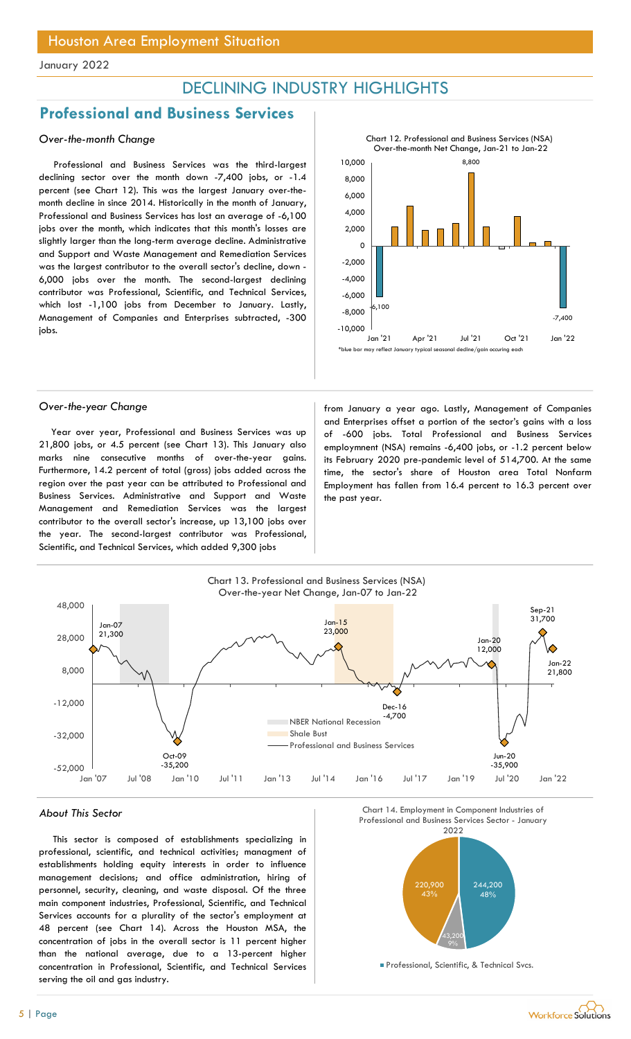## DECLINING INDUSTRY HIGHLIGHTS

## Professional and Business Services

## Over-the-month Change

Professional and Business Services was the third-largest declining sector over the month down -7,400 jobs, or -1.4 percent (see Chart 12). This was the largest January over-themonth decline in since 2014. Historically in the month of January, Professional and Business Services has lost an average of -6,100 jobs over the month, which indicates that this month's losses are slightly larger than the long-term average decline. Administrative and Support and Waste Management and Remediation Services was the largest contributor to the overall sector's decline, down - 6,000 jobs over the month. The second-largest declining contributor was Professional, Scientific, and Technical Services, which lost -1,100 jobs from December to January. Lastly, Management of Companies and Enterprises subtracted, -300 jobs.



Year over year, Professional and Business Services was up 21,800 jobs, or 4.5 percent (see Chart 13). This January also marks nine consecutive months of over-the-year gains. Furthermore, 14.2 percent of total (gross) jobs added across the region over the past year can be attributed to Professional and Business Services. Administrative and Support and Waste Management and Remediation Services was the largest contributor to the overall sector's increase, up 13,100 jobs over the year. The second-largest contributor was Professional, Scientific, and Technical Services, which added 9,300 jobs

Over-the-year Change from January a year ago. Lastly, Management of Companies and Enterprises offset a portion of the sector's gains with a loss of -600 jobs. Total Professional and Business Services employmnent (NSA) remains -6,400 jobs, or -1.2 percent below its February 2020 pre-pandemic level of 514,700. At the same time, the sector's share of Houston area Total Nonfarm Employment has fallen from 16.4 percent to 16.3 percent over the past year.



#### About This Sector

This sector is composed of establishments specializing in professional, scientific, and technical activities; managment of establishments holding equity interests in order to influence management decisions; and office administration, hiring of personnel, security, cleaning, and waste disposal. Of the three main component industries, Professional, Scientific, and Technical Services accounts for a plurality of the sector's employment at 48 percent (see Chart 14). Across the Houston MSA, the concentration of jobs in the overall sector is 11 percent higher than the national average, due to a 13-percent higher concentration in Professional, Scientific, and Technical Services serving the oil and gas industry.



**Professional, Scientific, & Technical Svcs.** 

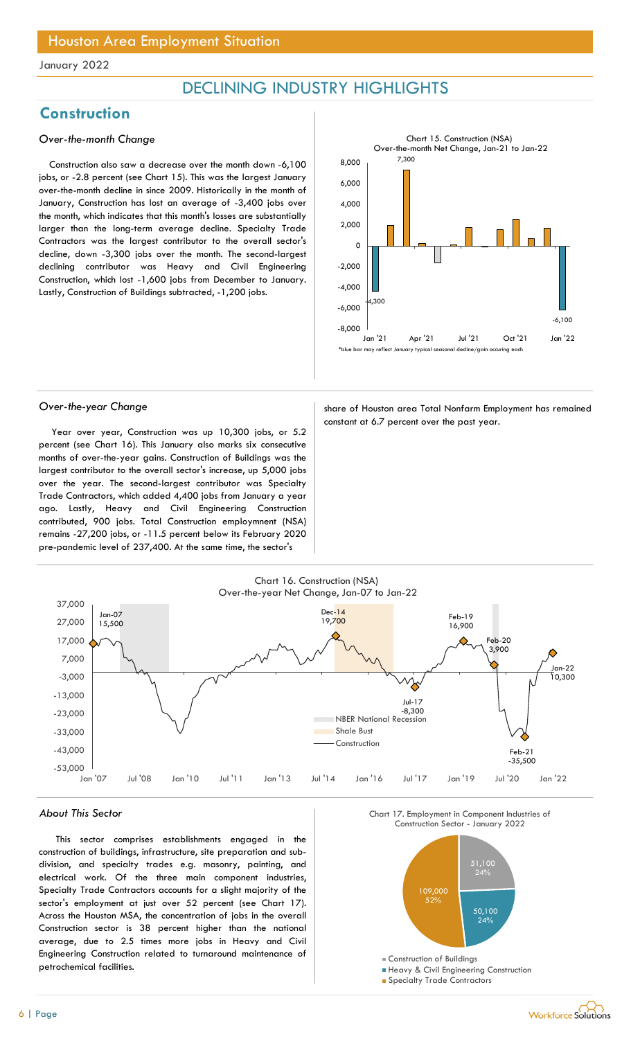## DECLINING INDUSTRY HIGHLIGHTS

## **Construction**

## Over-the-month Change

Construction also saw a decrease over the month down -6,100 jobs, or -2.8 percent (see Chart 15). This was the largest January over-the-month decline in since 2009. Historically in the month of January, Construction has lost an average of -3,400 jobs over the month, which indicates that this month's losses are substantially larger than the long-term average decline. Specialty Trade Contractors was the largest contributor to the overall sector's decline, down -3,300 jobs over the month. The second-largest declining contributor was Heavy and Civil Engineering Construction, which lost -1,600 jobs from December to January. Lastly, Construction of Buildings subtracted, -1,200 jobs.



Year over year, Construction was up 10,300 jobs, or 5.2 percent (see Chart 16). This January also marks six consecutive months of over-the-year gains. Construction of Buildings was the largest contributor to the overall sector's increase, up 5,000 jobs over the year. The second-largest contributor was Specialty Trade Contractors, which added 4,400 jobs from January a year ago. Lastly, Heavy and Civil Engineering Construction contributed, 900 jobs. Total Construction employmnent (NSA) remains -27,200 jobs, or -11.5 percent below its February 2020 pre-pandemic level of 237,400. At the same time, the sector's

Over-the-year Change share of Houston area Total Nonfarm Employment has remained constant at 6.7 percent over the past year.



#### About This Sector

This sector comprises establishments engaged in the construction of buildings, infrastructure, site preparation and subdivision, and specialty trades e.g. masonry, painting, and electrical work. Of the three main component industries, Specialty Trade Contractors accounts for a slight majority of the sector's employment at just over 52 percent (see Chart 17). Across the Houston MSA, the concentration of jobs in the overall Construction sector is 38 percent higher than the national average, due to 2.5 times more jobs in Heavy and Civil Engineering Construction related to turnaround maintenance of petrochemical facilities.





- **Heavy & Civil Engineering Construction**
- **Specialty Trade Contractors**

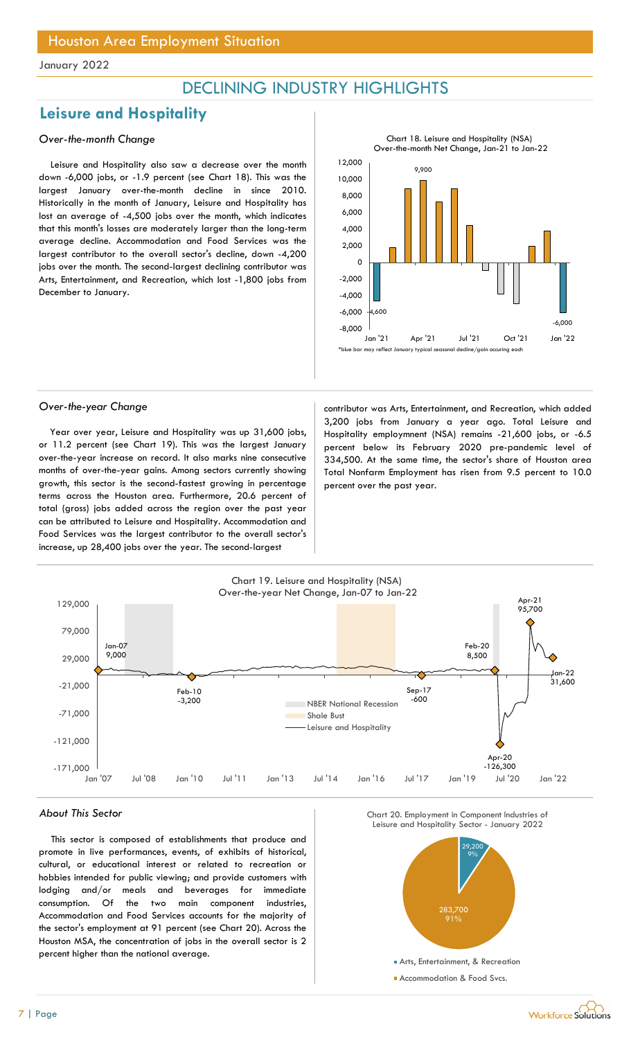## DECLINING INDUSTRY HIGHLIGHTS

## Leisure and Hospitality

## Over-the-month Change

Leisure and Hospitality also saw a decrease over the month down -6,000 jobs, or -1.9 percent (see Chart 18). This was the largest January over-the-month decline in since 2010. Historically in the month of January, Leisure and Hospitality has lost an average of -4,500 jobs over the month, which indicates that this month's losses are moderately larger than the long-term average decline. Accommodation and Food Services was the largest contributor to the overall sector's decline, down -4,200 jobs over the month. The second-largest declining contributor was Arts, Entertainment, and Recreation, which lost -1,800 jobs from December to January.



Year over year, Leisure and Hospitality was up 31,600 jobs, or 11.2 percent (see Chart 19). This was the largest January over-the-year increase on record. It also marks nine consecutive months of over-the-year gains. Among sectors currently showing growth, this sector is the second-fastest growing in percentage terms across the Houston area. Furthermore, 20.6 percent of total (gross) jobs added across the region over the past year can be attributed to Leisure and Hospitality. Accommodation and Food Services was the largest contributor to the overall sector's increase, up 28,400 jobs over the year. The second-largest

Over-the-year Change contributor was Arts, Entertainment, and Recreation, which added 3,200 jobs from January a year ago. Total Leisure and Hospitality employmnent (NSA) remains -21,600 jobs, or -6.5 percent below its February 2020 pre-pandemic level of 334,500. At the same time, the sector's share of Houston area Total Nonfarm Employment has risen from 9.5 percent to 10.0 percent over the past year.



#### About This Sector

This sector is composed of establishments that produce and promote in live performances, events, of exhibits of historical, cultural, or educational interest or related to recreation or hobbies intended for public viewing; and provide customers with lodging and/or meals and beverages for immediate consumption. Of the two main component industries, Accommodation and Food Services accounts for the majority of the sector's employment at 91 percent (see Chart 20). Across the Houston MSA, the concentration of jobs in the overall sector is 2 percent higher than the national average.





7 | Page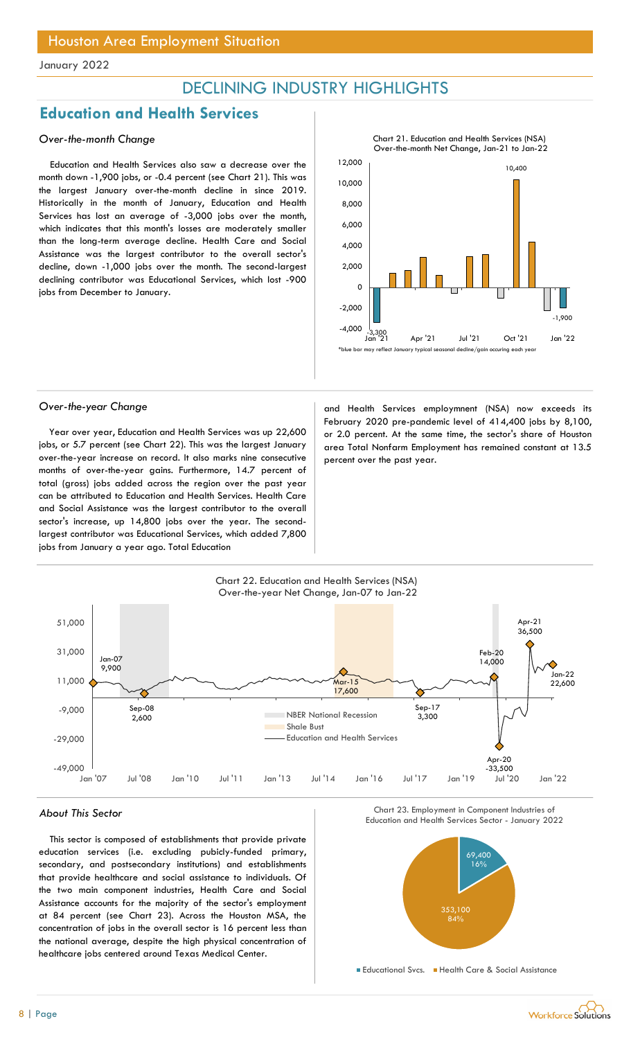## DECLINING INDUSTRY HIGHLIGHTS

## Education and Health Services

## Over-the-month Change

Education and Health Services also saw a decrease over the month down -1,900 jobs, or -0.4 percent (see Chart 21). This was the largest January over-the-month decline in since 2019. Historically in the month of January, Education and Health Services has lost an average of -3,000 jobs over the month, which indicates that this month's losses are moderately smaller than the long-term average decline. Health Care and Social Assistance was the largest contributor to the overall sector's decline, down -1,000 jobs over the month. The second-largest declining contributor was Educational Services, which lost -900 jobs from December to January.



Year over year, Education and Health Services was up 22,600 jobs, or 5.7 percent (see Chart 22). This was the largest January over-the-year increase on record. It also marks nine consecutive months of over-the-year gains. Furthermore, 14.7 percent of total (gross) jobs added across the region over the past year can be attributed to Education and Health Services. Health Care and Social Assistance was the largest contributor to the overall sector's increase, up 14,800 jobs over the year. The secondlargest contributor was Educational Services, which added 7,800 jobs from January a year ago. Total Education

Over-the-year Change and Health Services employmnent (NSA) now exceeds its February 2020 pre-pandemic level of 414,400 jobs by 8,100, or 2.0 percent. At the same time, the sector's share of Houston area Total Nonfarm Employment has remained constant at 13.5 percent over the past year.



Chart<sub>e</sub>

## About This Sector

This sector is composed of establishments that provide private education services (i.e. excluding pubicly-funded primary, secondary, and postsecondary institutions) and establishments that provide healthcare and social assistance to individuals. Of the two main component industries, Health Care and Social Assistance accounts for the majority of the sector's employment at 84 percent (see Chart 23). Across the Houston MSA, the concentration of jobs in the overall sector is 16 percent less than the national average, despite the high physical concentration of healthcare jobs centered around Texas Medical Center.





**Educational Svcs. Health Care & Social Assistance** 

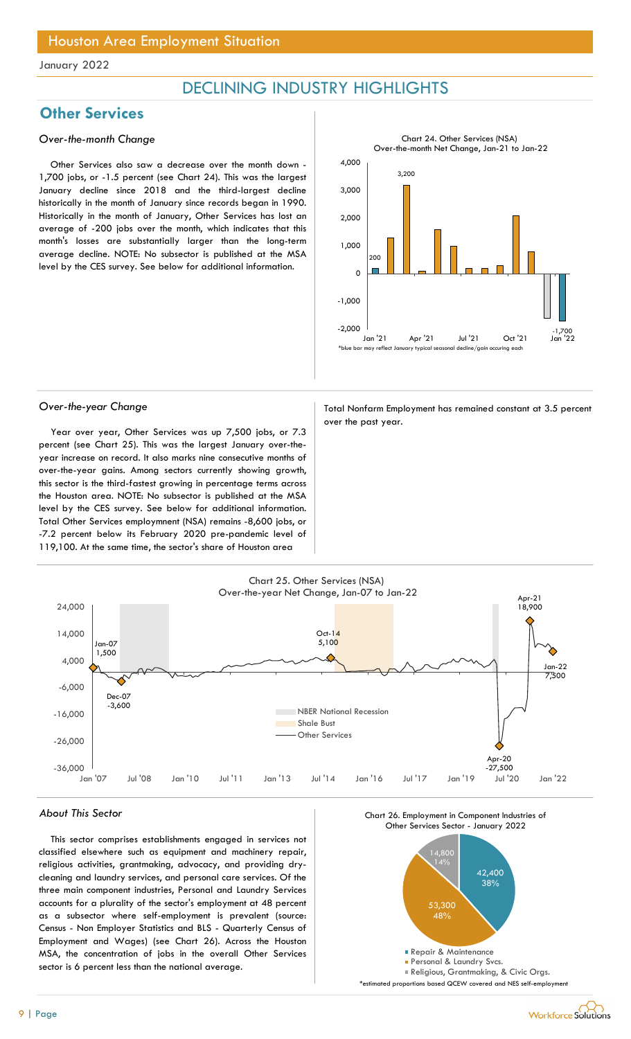## DECLINING INDUSTRY HIGHLIGHTS

## **Other Services**

## Over-the-month Change

Other Services also saw a decrease over the month down - 1,700 jobs, or -1.5 percent (see Chart 24). This was the largest January decline since 2018 and the third-largest decline historically in the month of January since records began in 1990. Historically in the month of January, Other Services has lost an average of -200 jobs over the month, which indicates that this month's losses are substantially larger than the long-term average decline. NOTE: No subsector is published at the MSA level by the CES survey. See below for additional information.



Year over year, Other Services was up 7,500 jobs, or 7.3 percent (see Chart 25). This was the largest January over-theyear increase on record. It also marks nine consecutive months of over-the-year gains. Among sectors currently showing growth, this sector is the third-fastest growing in percentage terms across the Houston area. NOTE: No subsector is published at the MSA level by the CES survey. See below for additional information. Total Other Services employmnent (NSA) remains -8,600 jobs, or -7.2 percent below its February 2020 pre-pandemic level of 119,100. At the same time, the sector's share of Houston area

Over-the-year Change Total Nonfarm Employment has remained constant at 3.5 percent over the past year.



#### About This Sector

This sector comprises establishments engaged in services not classified elsewhere such as equipment and machinery repair, religious activities, grantmaking, advocacy, and providing drycleaning and laundry services, and personal care services. Of the three main component industries, Personal and Laundry Services accounts for a plurality of the sector's employment at 48 percent as a subsector where self-employment is prevalent (source: Census - Non Employer Statistics and BLS - Quarterly Census of Employment and Wages) (see Chart 26). Across the Houston MSA, the concentration of jobs in the overall Other Services sector is 6 percent less than the national average.



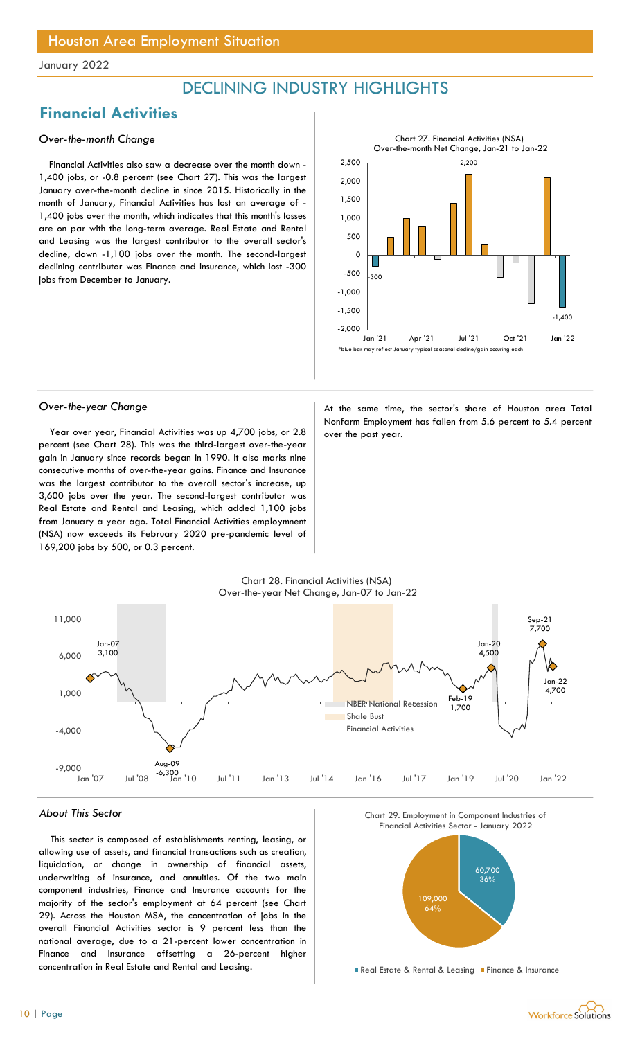## DECLINING INDUSTRY HIGHLIGHTS

## Financial Activities

## Over-the-month Change

Financial Activities also saw a decrease over the month down - 1,400 jobs, or -0.8 percent (see Chart 27). This was the largest January over-the-month decline in since 2015. Historically in the month of January, Financial Activities has lost an average of - 1,400 jobs over the month, which indicates that this month's losses are on par with the long-term average. Real Estate and Rental and Leasing was the largest contributor to the overall sector's decline, down -1,100 jobs over the month. The second-largest declining contributor was Finance and Insurance, which lost -300 jobs from December to January.



Year over year, Financial Activities was up 4,700 jobs, or  $2.8$  over the past year. percent (see Chart 28). This was the third-largest over-the-year gain in January since records began in 1990. It also marks nine consecutive months of over-the-year gains. Finance and Insurance was the largest contributor to the overall sector's increase, up 3,600 jobs over the year. The second-largest contributor was Real Estate and Rental and Leasing, which added 1,100 jobs from January a year ago. Total Financial Activities employmnent (NSA) now exceeds its February 2020 pre-pandemic level of 169,200 jobs by 500, or 0.3 percent.

Over-the-year Change and a state of the same time, the sector's share of Houston area Total Nonfarm Employment has fallen from 5.6 percent to 5.4 percent



#### About This Sector

This sector is composed of establishments renting, leasing, or allowing use of assets, and financial transactions such as creation, liquidation, or change in ownership of financial assets, underwriting of insurance, and annuities. Of the two main component industries, Finance and Insurance accounts for the majority of the sector's employment at 64 percent (see Chart 29). Across the Houston MSA, the concentration of jobs in the overall Financial Activities sector is 9 percent less than the national average, due to a 21-percent lower concentration in Finance and Insurance offsetting a 26-percent higher concentration in Real Estate and Rental and Leasing.

Chart\_C\_16 Chart 29. Employment in Component Industries of



Real Estate & Rental & Leasing Finance & Insurance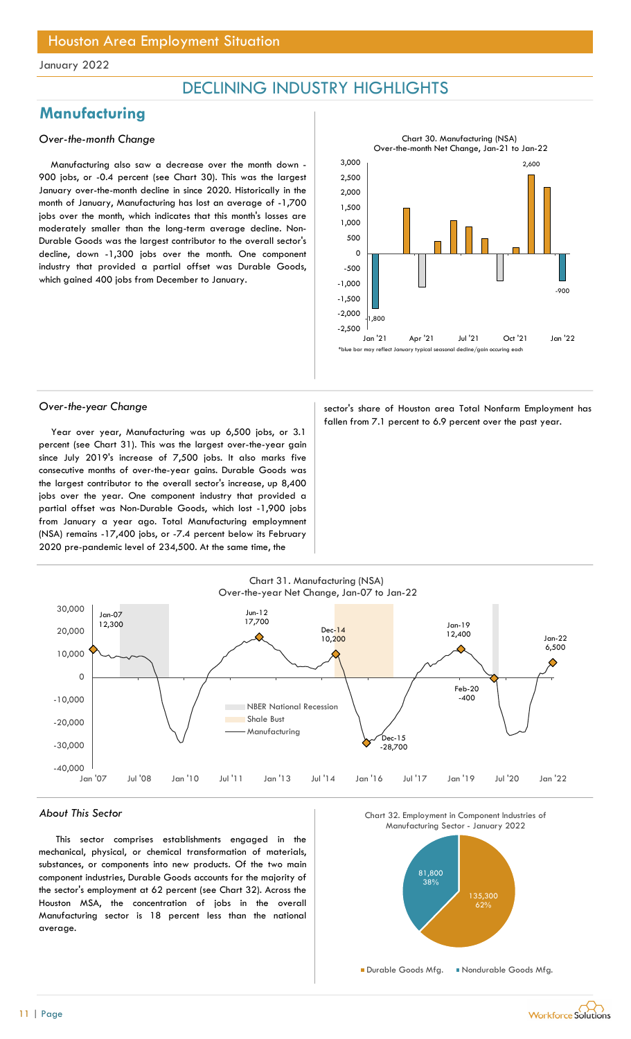## DECLINING INDUSTRY HIGHLIGHTS

## **Manufacturing**

## Over-the-month Change

Manufacturing also saw a decrease over the month down - 900 jobs, or -0.4 percent (see Chart 30). This was the largest January over-the-month decline in since 2020. Historically in the month of January, Manufacturing has lost an average of -1,700 jobs over the month, which indicates that this month's losses are moderately smaller than the long-term average decline. Non-Durable Goods was the largest contributor to the overall sector's decline, down -1,300 jobs over the month. One component industry that provided a partial offset was Durable Goods, which gained 400 jobs from December to January.



Year over year, Manufacturing was up 6,500 jobs, or 3.1 percent (see Chart 31). This was the largest over-the-year gain since July 2019's increase of 7,500 jobs. It also marks five consecutive months of over-the-year gains. Durable Goods was the largest contributor to the overall sector's increase, up 8,400 jobs over the year. One component industry that provided a partial offset was Non-Durable Goods, which lost -1,900 jobs from January a year ago. Total Manufacturing employmnent (NSA) remains -17,400 jobs, or -7.4 percent below its February 2020 pre-pandemic level of 234,500. At the same time, the

Over-the-year Change sector's share of Houston area Total Nonfarm Employment has fallen from 7.1 percent to 6.9 percent over the past year.



#### About This Sector

This sector comprises establishments engaged in the mechanical, physical, or chemical transformation of materials, substances, or components into new products. Of the two main component industries, Durable Goods accounts for the majority of the sector's employment at 62 percent (see Chart 32). Across the Houston MSA, the concentration of jobs in the overall Manufacturing sector is 18 percent less than the national average.



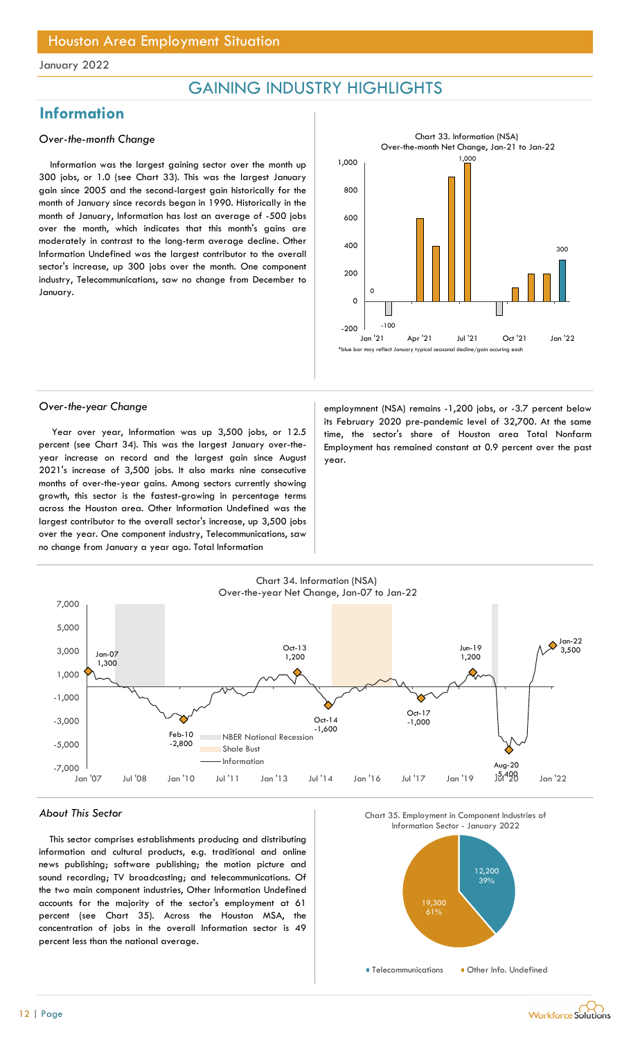## GAINING INDUSTRY HIGHLIGHTS

## **Information**

## Over-the-month Change

Information was the largest gaining sector over the month up 300 jobs, or 1.0 (see Chart 33). This was the largest January gain since 2005 and the second-largest gain historically for the month of January since records began in 1990. Historically in the month of January, Information has lost an average of -500 jobs over the month, which indicates that this month's gains are moderately in contrast to the long-term average decline. Other Information Undefined was the largest contributor to the overall sector's increase, up 300 jobs over the month. One component industry, Telecommunications, saw no change from December to January.



Year over year, Information was up 3,500 jobs, or 12.5 percent (see Chart 34). This was the largest January over-theyear increase on record and the largest gain since August 2021's increase of 3,500 jobs. It also marks nine consecutive months of over-the-year gains. Among sectors currently showing growth, this sector is the fastest-growing in percentage terms across the Houston area. Other Information Undefined was the largest contributor to the overall sector's increase, up 3,500 jobs over the year. One component industry, Telecommunications, saw no change from January a year ago. Total Information

Over-the-year Change employmnent (NSA) remains -1,200 jobs, or -3.7 percent below its February 2020 pre-pandemic level of 32,700. At the same time, the sector's share of Houston area Total Nonfarm Employment has remained constant at 0.9 percent over the past year.



#### About This Sector

This sector comprises establishments producing and distributing information and cultural products, e.g. traditional and online news publishing; software publishing; the motion picture and sound recording; TV broadcasting; and telecommunications. Of the two main component industries, Other Information Undefined accounts for the majority of the sector's employment at 61 percent (see Chart 35). Across the Houston MSA, the concentration of jobs in the overall Information sector is 49 percent less than the national average.





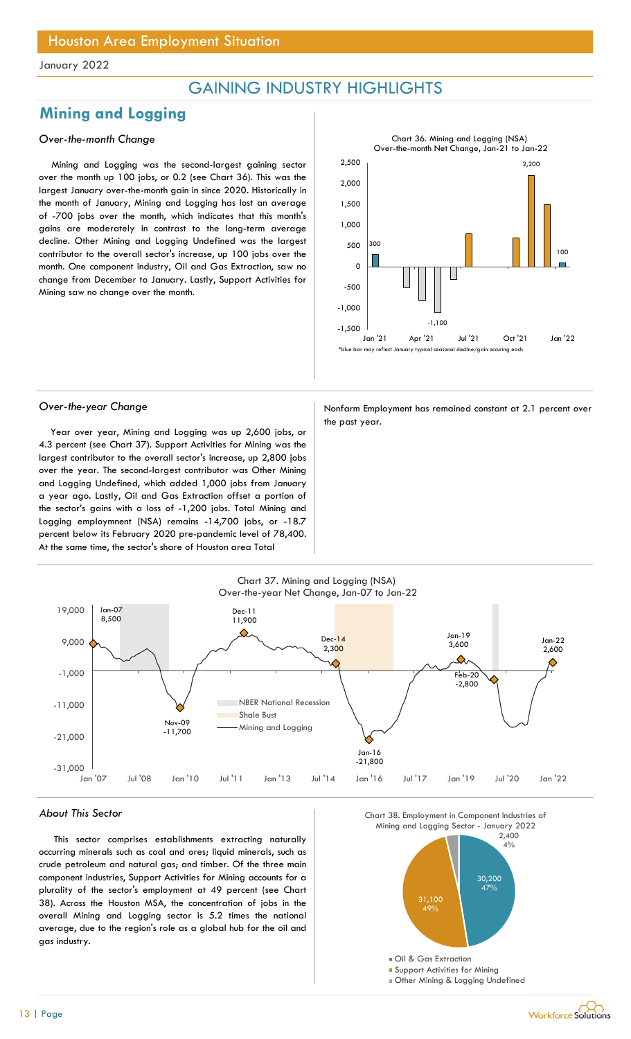## GAINING INDUSTRY HIGHLIGHTS

## Mining and Logging

## Over-the-month Change

Mining and Logging was the second-largest gaining sector over the month up 100 jobs, or 0.2 (see Chart 36). This was the largest January over-the-month gain in since 2020. Historically in the month of January, Mining and Logging has lost an average of -700 jobs over the month, which indicates that this month's gains are moderately in contrast to the long-term average decline. Other Mining and Logging Undefined was the largest contributor to the overall sector's increase, up 100 jobs over the month. One component industry, Oil and Gas Extraction, saw no change from December to January. Lastly, Support Activities for Mining saw no change over the month.



Year over year, Mining and Logging was up 2,600 jobs, or 4.3 percent (see Chart 37). Support Activities for Mining was the largest contributor to the overall sector's increase, up 2,800 jobs over the year. The second-largest contributor was Other Mining and Logging Undefined, which added 1,000 jobs from January a year ago. Lastly, Oil and Gas Extraction offset a portion of the sector's gains with a loss of -1,200 jobs. Total Mining and Logging employmnent (NSA) remains -14,700 jobs, or -18.7 percent below its February 2020 pre-pandemic level of 78,400. At the same time, the sector's share of Houston area Total

Over-the-year Change Nonfarm Employment has remained constant at 2.1 percent over the past year.



#### About This Sector

This sector comprises establishments extracting naturally occurring minerals such as coal and ores; liquid minerals, such as crude petroleum and natural gas; and timber. Of the three main component industries, Support Activities for Mining accounts for a plurality of the sector's employment at 49 percent (see Chart 38). Across the Houston MSA, the concentration of jobs in the overall Mining and Logging sector is 5.2 times the national average, due to the region's role as a global hub for the oil and gas industry.

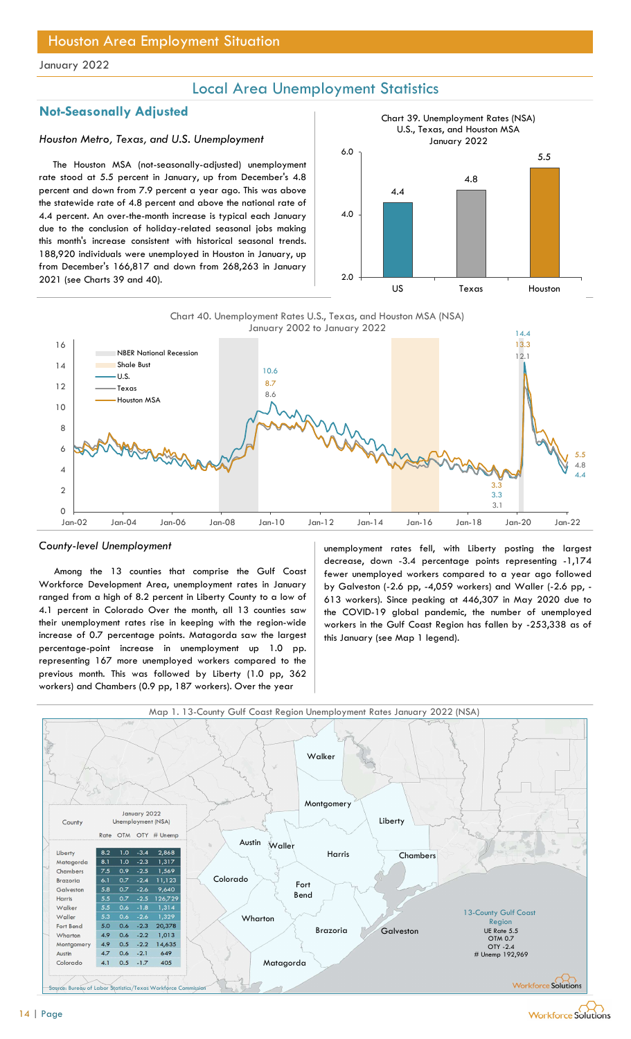## Local Area Unemployment Statistics

## Not-Seasonally Adjusted

## Houston Metro, Texas, and U.S. Unemployment

The Houston MSA (not-seasonally-adjusted) unemployment rate stood at 5.5 percent in January, up from December's 4.8 percent and down from 7.9 percent a year ago. This was above the statewide rate of 4.8 percent and above the national rate of 4.4 percent. An over-the-month increase is typical each January due to the conclusion of holiday-related seasonal jobs making this month's increase consistent with historical seasonal trends. 188,920 individuals were unemployed in Houston in January, up from December's 166,817 and down from 268,263 in January 2021 (see Charts 39 and 40).





#### County-level Unemployment

Among the 13 counties that comprise the Gulf Coast Workforce Development Area, unemployment rates in January ranged from a high of 8.2 percent in Liberty County to a low of 4.1 percent in Colorado Over the month, all 13 counties saw their unemployment rates rise in keeping with the region-wide increase of 0.7 percentage points. Matagorda saw the largest percentage-point increase in unemployment up 1.0 pp. representing 167 more unemployed workers compared to the previous month. This was followed by Liberty (1.0 pp, 362 workers) and Chambers (0.9 pp, 187 workers). Over the year

unemployment rates fell, with Liberty posting the largest decrease, down -3.4 percentage points representing -1,174 fewer unemployed workers compared to a year ago followed by Galveston (-2.6 pp, -4,059 workers) and Waller (-2.6 pp, - 613 workers). Since peaking at 446,307 in May 2020 due to the COVID-19 global pandemic, the number of unemployed workers in the Gulf Coast Region has fallen by -253,338 as of this January (see Map 1 legend).

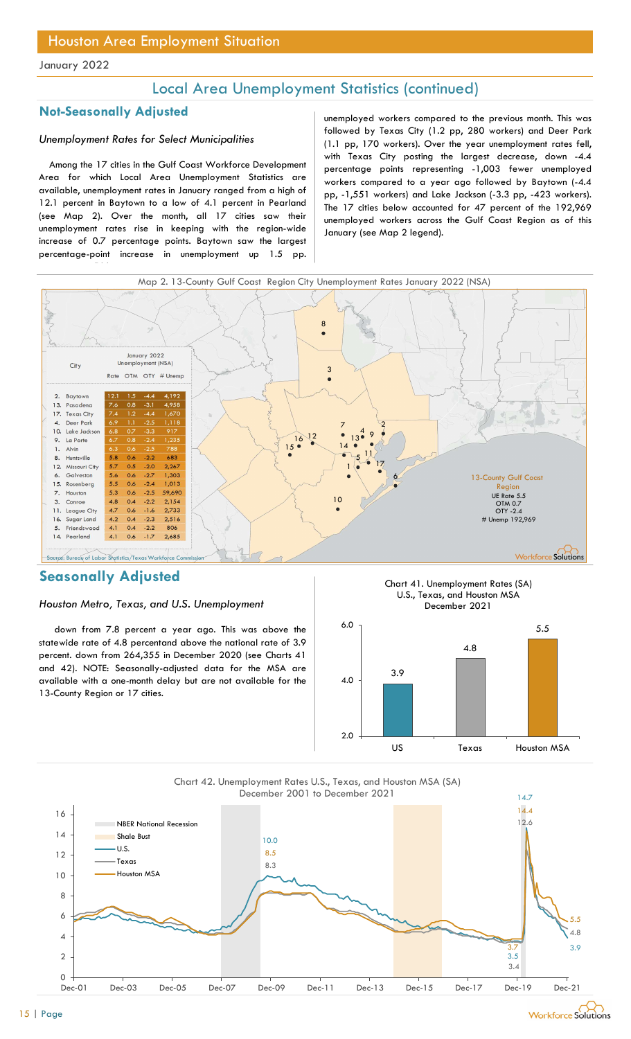## Local Area Unemployment Statistics (continued)

## Not-Seasonally Adjusted

## Unemployment Rates for Select Municipalities

Among the 17 cities in the Gulf Coast Workforce Development Area for which Local Area Unemployment Statistics are available, unemployment rates in January ranged from a high of 12.1 percent in Baytown to a low of 4.1 percent in Pearland (see Map 2). Over the month, all 17 cities saw their unemployment rates rise in keeping with the region-wide increase of 0.7 percentage points. Baytown saw the largest percentage-point increase in unemployment up 1.5 pp.

unemployed workers compared to the previous month. This was followed by Texas City (1.2 pp, 280 workers) and Deer Park (1.1 pp, 170 workers). Over the year unemployment rates fell, with Texas City posting the largest decrease, down -4.4 percentage points representing -1,003 fewer unemployed workers compared to a year ago followed by Baytown (-4.4 pp, -1,551 workers) and Lake Jackson (-3.3 pp, -423 workers). The 17 cities below accounted for 47 percent of the 192,969 unemployed workers across the Gulf Coast Region as of this January (see Map 2 legend).



## Seasonally Adjusted

### Houston Metro, Texas, and U.S. Unemployment

down from 7.8 percent a year ago. This was above the statewide rate of 4.8 percentand above the national rate of 3.9 percent. down from 264,355 in December 2020 (see Charts 41 and 42). NOTE: Seasonally-adjusted data for the MSA are available with a one-month delay but are not available for the 13-County Region or 17 cities.





Chart 42. Unemployment Rates U.S., Texas, and Houston MSA (SA) December 2001 to December 2021

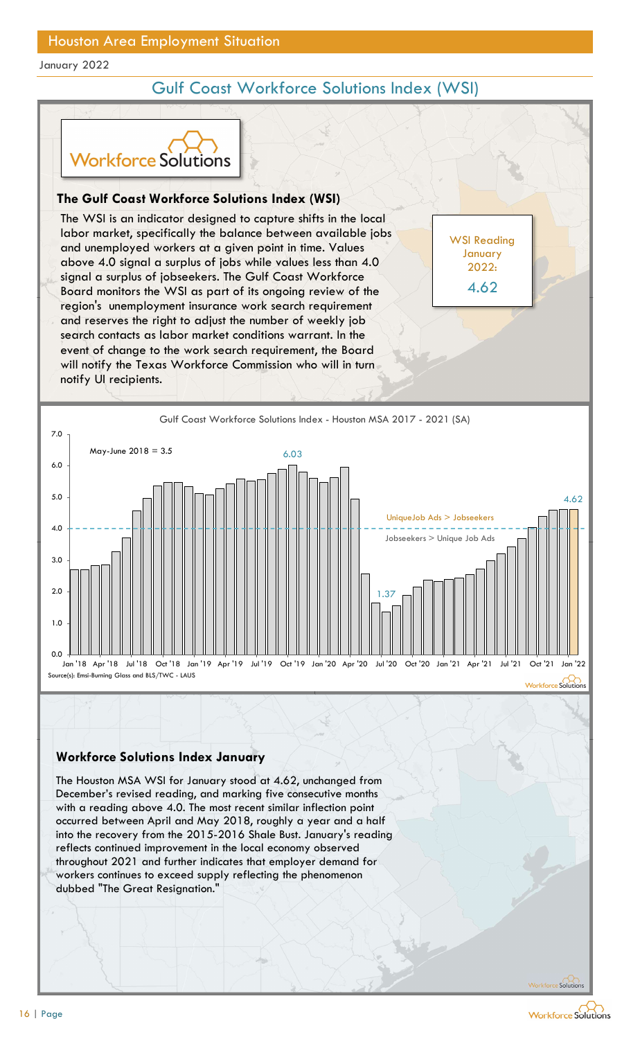## Gulf Coast Workforce Solutions Index (WSI)

WSI Reading January 2022:

4.62



## The Gulf Coast Workforce Solutions Index (WSI)

The WSI is an indicator designed to capture shifts in the local labor market, specifically the balance between available jobs and unemployed workers at a given point in time. Values above 4.0 signal a surplus of jobs while values less than 4.0 signal a surplus of jobseekers. The Gulf Coast Workforce Board monitors the WSI as part of its ongoing review of the 4.62 region's unemployment insurance work search requirement and reserves the right to adjust the number of weekly job search contacts as labor market conditions warrant. In the event of change to the work search requirement, the Board will notify the Texas Workforce Commission who will in turn notify UI recipients. For the Solutions Index (WSI)<br>
VSI is an indicator designed to capture shifts in the local<br>
market, specifically the balance between available jobs<br>
memployed workers at a given point in time. Values<br>
4.0 signal a surplus



## Workforce Solutions Index January

The Houston MSA WSI for January stood at 4.62, unchanged from December's revised reading, and marking five consecutive months with a reading above 4.0. The most recent similar inflection point into the recovery from the 2015-2016 Shale Bust. January's reading reflects continued improvement in the local economy observed workers continues to exceed supply reflecting the phenomenon dubbed "The Great Resignation."<br>
The Great Resident Control of the Great Residence of the Great Residence of the Great Residence of the Houston MSA WSI for January tood at 4.62, unchanged from<br>
December's revised reading,

Workforce Solutions

Workforce Solutions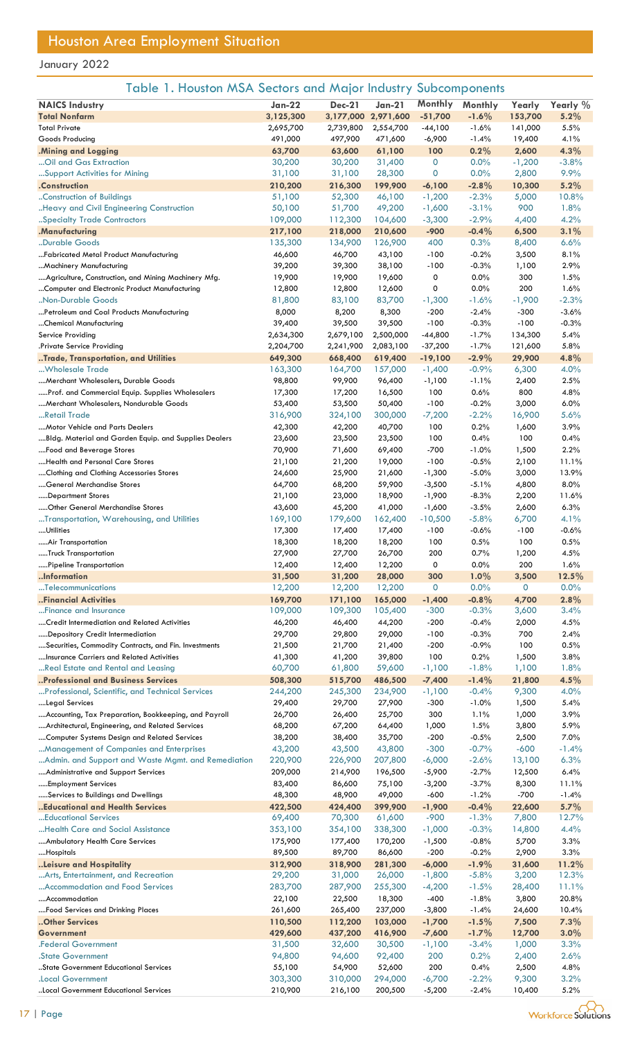|  |  |  |  |  | Table 1. Houston MSA Sectors and Major Industry Subcomponents |
|--|--|--|--|--|---------------------------------------------------------------|
|--|--|--|--|--|---------------------------------------------------------------|

| <b>NAICS Industry</b>                                 | Jan-22    | <b>Dec-21</b>       | $Jan-21$  | Monthly     | Monthly  | Yearly   | Yearly % |
|-------------------------------------------------------|-----------|---------------------|-----------|-------------|----------|----------|----------|
| <b>Total Nonfarm</b>                                  | 3,125,300 | 3,177,000 2,971,600 |           | $-51,700$   | $-1.6%$  | 153,700  | 5.2%     |
| <b>Total Private</b>                                  | 2,695,700 | 2,739,800           | 2,554,700 | -44,100     | $-1.6%$  | 141,000  | 5.5%     |
| Goods Producing                                       | 491,000   | 497,900             | 471,600   | $-6,900$    | $-1.4%$  | 19,400   | 4.1%     |
| .Mining and Logging                                   | 63,700    | 63,600              | 61,100    | 100         | 0.2%     | 2,600    | 4.3%     |
| Oil and Gas Extraction                                | 30,200    | 30,200              | 31,400    | $\mathbf 0$ | 0.0%     | $-1,200$ | $-3.8%$  |
|                                                       |           |                     |           | $\mathbf 0$ | 0.0%     |          | 9.9%     |
| Support Activities for Mining                         | 31,100    | 31,100              | 28,300    |             |          | 2,800    |          |
| .Construction                                         | 210,200   | 216,300             | 199,900   | $-6,100$    | $-2.8%$  | 10,300   | 5.2%     |
| Construction of Buildings                             | 51,100    | 52,300              | 46,100    | $-1,200$    | $-2.3%$  | 5,000    | 10.8%    |
| Heavy and Civil Engineering Construction              | 50,100    | 51,700              | 49,200    | $-1,600$    | $-3.1%$  | 900      | 1.8%     |
| Specialty Trade Contractors                           | 109,000   | 112,300             | 104,600   | $-3,300$    | $-2.9%$  | 4,400    | 4.2%     |
| .Manufacturing                                        | 217,100   | 218,000             | 210,600   | $-900$      | $-0.4%$  | 6,500    | 3.1%     |
| "Durable Goods                                        | 135,300   | 134,900             | 126,900   | 400         | 0.3%     | 8,400    | 6.6%     |
| Fabricated Metal Product Manufacturing                | 46,600    | 46,700              | 43,100    | $-100$      | $-0.2%$  | 3,500    | 8.1%     |
| Machinery Manufacturing                               | 39,200    | 39,300              | 38,100    | $-100$      | $-0.3%$  | 1,100    | 2.9%     |
| Agriculture, Construction, and Mining Machinery Mfg.  | 19,900    | 19,900              | 19,600    | 0           | 0.0%     | 300      | 1.5%     |
| Computer and Electronic Product Manufacturing         | 12,800    | 12,800              | 12,600    | 0           | 0.0%     | 200      | 1.6%     |
| Non-Durable Goods                                     | 81,800    | 83,100              | 83,700    | $-1,300$    | $-1.6%$  | $-1,900$ | $-2.3%$  |
| Petroleum and Coal Products Manufacturing             | 8,000     | 8,200               | 8,300     | $-200$      | $-2.4%$  | $-300$   | $-3.6%$  |
| Chemical Manufacturing                                | 39,400    | 39,500              | 39,500    | $-100$      | $-0.3%$  | $-100$   | $-0.3%$  |
| Service Providing                                     | 2,634,300 | 2,679,100           | 2,500,000 | $-44,800$   | $-1.7%$  | 134,300  | 5.4%     |
| Private Service Providing.                            | 2,204,700 | 2,241,900           | 2,083,100 | $-37,200$   | $-1.7%$  | 121,600  | 5.8%     |
| Trade, Transportation, and Utilities                  | 649,300   | 668,400             | 619,400   | $-19,100$   | $-2.9%$  | 29,900   | 4.8%     |
| Wholesale Trade                                       | 163,300   | 164,700             | 157,000   | $-1,400$    | $-0.9%$  | 6,300    | 4.0%     |
| Merchant Wholesalers, Durable Goods                   | 98,800    | 99,900              | 96,400    | $-1,100$    | $-1.1%$  | 2,400    | 2.5%     |
| Prof. and Commercial Equip. Supplies Wholesalers      | 17,300    | 17,200              | 16,500    | 100         | 0.6%     | 800      | 4.8%     |
| Merchant Wholesalers, Nondurable Goods                | 53,400    | 53,500              | 50,400    | $-100$      | $-0.2%$  | 3,000    | 6.0%     |
| Retail Trade                                          | 316,900   | 324,100             | 300,000   | $-7,200$    | $-2.2%$  | 16,900   | 5.6%     |
| Motor Vehicle and Parts Dealers                       | 42,300    | 42,200              | 40,700    | 100         | 0.2%     | 1,600    | 3.9%     |
| Bldg. Material and Garden Equip. and Supplies Dealers | 23,600    | 23,500              | 23,500    | 100         | 0.4%     | 100      | 0.4%     |
| Food and Beverage Stores                              | 70,900    | 71,600              | 69,400    | $-700$      | $-1.0%$  | 1,500    | 2.2%     |
| Health and Personal Care Stores                       | 21,100    | 21,200              | 19,000    | $-100$      | $-0.5%$  | 2,100    | 11.1%    |
| Clothing and Clothing Accessories Stores              | 24,600    | 25,900              | 21,600    | $-1,300$    | $-5.0%$  | 3,000    | 13.9%    |
|                                                       | 64,700    | 68,200              | 59,900    | $-3,500$    | $-5.1%$  |          | 8.0%     |
| General Merchandise Stores                            |           |                     |           |             |          | 4,800    |          |
| Department Stores                                     | 21,100    | 23,000              | 18,900    | $-1,900$    | $-8.3%$  | 2,200    | 11.6%    |
| Other General Merchandise Stores                      | 43,600    | 45,200              | 41,000    | $-1,600$    | $-3.5%$  | 2,600    | 6.3%     |
| Transportation, Warehousing, and Utilities            | 169,100   | 179,600             | 162,400   | $-10,500$   | $-5.8%$  | 6,700    | 4.1%     |
| Utilities                                             | 17,300    | 17,400              | 17,400    | $-100$      | $-0.6%$  | $-100$   | $-0.6%$  |
| Air Transportation                                    | 18,300    | 18,200              | 18,200    | 100         | 0.5%     | 100      | 0.5%     |
| Truck Transportation                                  | 27,900    | 27,700              | 26,700    | 200         | 0.7%     | 1,200    | 4.5%     |
| Pipeline Transportation                               | 12,400    | 12,400              | 12,200    | 0           | 0.0%     | 200      | 1.6%     |
| Information                                           | 31,500    | 31,200              | 28,000    | 300         | 1.0%     | 3,500    | 12.5%    |
| Telecommunications                                    | 12,200    | 12,200              | 12,200    | 0           | 0.0%     | 0        | 0.0%     |
| Financial Activities                                  | 169,700   | 171,100             | 165,000   | $-1,400$    | $-0.8\%$ | 4,700    | 2.8%     |
| Finance and Insurance                                 | 109,000   | 109,300             | 105,400   | $-300$      | $-0.3%$  | 3,600    | 3.4%     |
| Credit Intermediation and Related Activities          | 46,200    | 46,400              | 44,200    | $-200$      | $-0.4%$  | 2,000    | 4.5%     |
| Depository Credit Intermediation                      | 29,700    | 29,800              | 29,000    | $-100$      | $-0.3%$  | 700      | 2.4%     |
| Securities, Commodity Contracts, and Fin. Investments | 21,500    | 21,700              | 21,400    | $-200$      | $-0.9%$  | 100      | 0.5%     |
| Insurance Carriers and Related Activities             | 41,300    | 41,200              | 39,800    | 100         | 0.2%     | 1,500    | 3.8%     |
| Real Estate and Rental and Leasing                    | 60,700    | 61,800              | 59,600    | $-1,100$    | $-1.8%$  | 1,100    | 1.8%     |
| Professional and Business Services                    | 508,300   | 515,700             | 486,500   | $-7,400$    | $-1.4%$  | 21,800   | 4.5%     |
| Professional, Scientific, and Technical Services      | 244,200   | 245,300             | 234,900   | $-1,100$    | $-0.4%$  | 9,300    | 4.0%     |
| Legal Services                                        | 29,400    | 29,700              | 27,900    | $-300$      | $-1.0%$  | 1,500    | 5.4%     |
| Accounting, Tax Preparation, Bookkeeping, and Payroll | 26,700    | 26,400              | 25,700    | 300         | 1.1%     | 1,000    | 3.9%     |
| Architectural, Engineering, and Related Services      | 68,200    | 67,200              | 64,400    | 1,000       | 1.5%     | 3,800    | 5.9%     |
| Computer Systems Design and Related Services          | 38,200    | 38,400              | 35,700    | $-200$      | $-0.5%$  | 2,500    | 7.0%     |
| Management of Companies and Enterprises               | 43,200    | 43,500              | 43,800    | $-300$      | $-0.7%$  | $-600$   | $-1.4%$  |
| Admin. and Support and Waste Mgmt. and Remediation    | 220,900   | 226,900             | 207,800   | $-6,000$    | $-2.6%$  | 13,100   | 6.3%     |
| Administrative and Support Services                   | 209,000   | 214,900             | 196,500   | $-5,900$    | $-2.7%$  | 12,500   | 6.4%     |
| Employment Services                                   | 83,400    | 86,600              | 75,100    | -3,200      | $-3.7%$  | 8,300    | 11.1%    |
| Services to Buildings and Dwellings                   | 48,300    | 48,900              | 49,000    | $-600$      | $-1.2%$  | $-700$   | $-1.4%$  |
| Educational and Health Services                       | 422,500   | 424,400             | 399,900   | $-1,900$    | $-0.4%$  | 22,600   | $5.7\%$  |
| Educational Services                                  | 69,400    | 70,300              | 61,600    | $-900$      | $-1.3%$  | 7,800    | 12.7%    |
|                                                       |           |                     |           |             |          |          |          |
| Health Care and Social Assistance                     | 353,100   | 354,100             | 338,300   | $-1,000$    | $-0.3%$  | 14,800   | 4.4%     |
| Ambulatory Health Care Services                       | 175,900   | 177,400             | 170,200   | $-1,500$    | $-0.8%$  | 5,700    | 3.3%     |
| Hospitals                                             | 89,500    | 89,700              | 86,600    | $-200$      | $-0.2%$  | 2,900    | 3.3%     |
| Leisure and Hospitality                               | 312,900   | 318,900             | 281,300   | $-6,000$    | $-1.9%$  | 31,600   | 11.2%    |
| Arts, Entertainment, and Recreation                   | 29,200    | 31,000              | 26,000    | $-1,800$    | $-5.8%$  | 3,200    | 12.3%    |
| Accommodation and Food Services                       | 283,700   | 287,900             | 255,300   | $-4,200$    | $-1.5%$  | 28,400   | 11.1%    |
| Accommodation                                         | 22,100    | 22,500              | 18,300    | $-400$      | $-1.8%$  | 3,800    | 20.8%    |
| Food Services and Drinking Places                     | 261,600   | 265,400             | 237,000   | $-3,800$    | $-1.4%$  | 24,600   | 10.4%    |
| Other Services                                        | 110,500   | 112,200             | 103,000   | $-1,700$    | $-1.5%$  | 7,500    | 7.3%     |
| Government                                            | 429,600   | 437,200             | 416,900   | $-7,600$    | $-1.7%$  | 12,700   | $3.0\%$  |
| <b>.Federal Government</b>                            | 31,500    | 32,600              | 30,500    | $-1,100$    | $-3.4%$  | 1,000    | 3.3%     |
| <b>State Government</b>                               | 94,800    | 94,600              | 92,400    | 200         | 0.2%     | 2,400    | 2.6%     |
| State Government Educational Services                 | 55,100    | 54,900              | 52,600    | 200         | 0.4%     | 2,500    | 4.8%     |
| <b>Local Government</b>                               | 303,300   | 310,000             | 294,000   | $-6,700$    | $-2.2%$  | 9,300    | 3.2%     |
| Local Government Educational Services                 | 210,900   | 216,100             | 200,500   | $-5,200$    | $-2.4%$  | 10,400   | 5.2%     |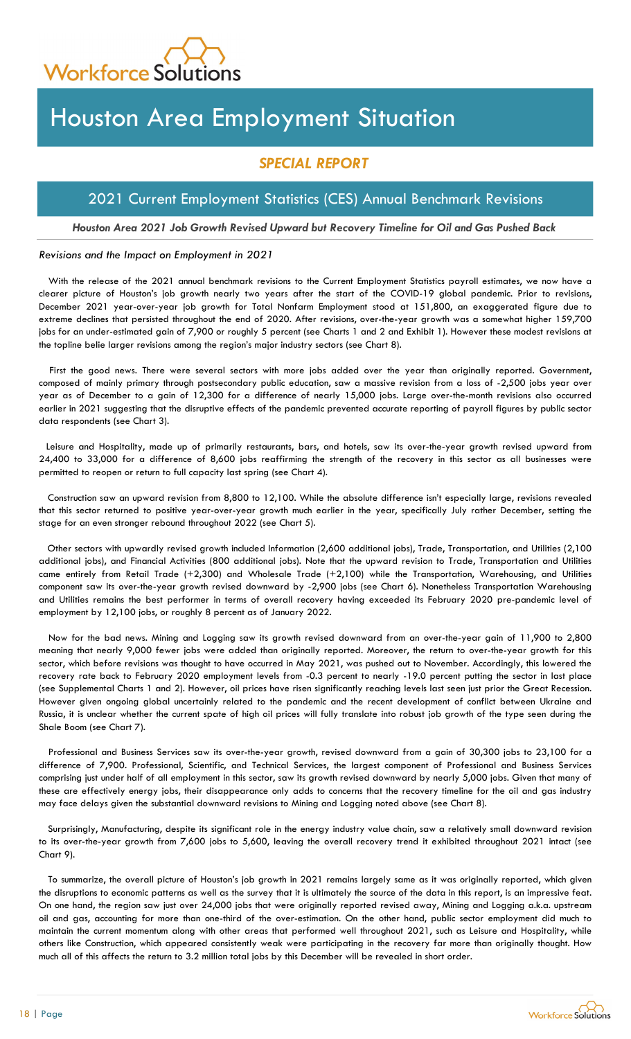

# Houston Area Employment Situation

## SPECIAL REPORT

## 2021 Current Employment Statistics (CES) Annual Benchmark Revisions

## Houston Area 2021 Job Growth Revised Upward but Recovery Timeline for Oil and Gas Pushed Back

### Revisions and the Impact on Employment in 2021

With the release of the 2021 annual benchmark revisions to the Current Employment Statistics payroll estimates, we now have a clearer picture of Houston's job growth nearly two years after the start of the COVID-19 global pandemic. Prior to revisions, December 2021 year-over-year job growth for Total Nonfarm Employment stood at 151,800, an exaggerated figure due to extreme declines that persisted throughout the end of 2020. After revisions, over-the-year growth was a somewhat higher 159,700 jobs for an under-estimated gain of 7,900 or roughly 5 percent (see Charts 1 and 2 and Exhibit 1). However these modest revisions at the topline belie larger revisions among the region's major industry sectors (see Chart 8).

First the good news. There were several sectors with more jobs added over the year than originally reported. Government, composed of mainly primary through postsecondary public education, saw a massive revision from a loss of -2,500 jobs year over year as of December to a gain of 12,300 for a difference of nearly 15,000 jobs. Large over-the-month revisions also occurred earlier in 2021 suggesting that the disruptive effects of the pandemic prevented accurate reporting of payroll figures by public sector data respondents (see Chart 3).

Leisure and Hospitality, made up of primarily restaurants, bars, and hotels, saw its over-the-year growth revised upward from 24,400 to 33,000 for a difference of 8,600 jobs reaffirming the strength of the recovery in this sector as all businesses were permitted to reopen or return to full capacity last spring (see Chart 4).

Construction saw an upward revision from 8,800 to 12,100. While the absolute difference isn't especially large, revisions revealed that this sector returned to positive year-over-year growth much earlier in the year, specifically July rather December, setting the stage for an even stronger rebound throughout 2022 (see Chart 5).

Other sectors with upwardly revised growth included Information (2,600 additional jobs), Trade, Transportation, and Utilities (2,100 additional jobs), and Financial Activities (800 additional jobs). Note that the upward revision to Trade, Transportation and Utilities came entirely from Retail Trade (+2,300) and Wholesale Trade (+2,100) while the Transportation, Warehousing, and Utilities component saw its over-the-year growth revised downward by -2,900 jobs (see Chart 6). Nonetheless Transportation Warehousing and Utilities remains the best performer in terms of overall recovery having exceeded its February 2020 pre-pandemic level of employment by 12,100 jobs, or roughly 8 percent as of January 2022.

Now for the bad news. Mining and Logging saw its growth revised downward from an over-the-year gain of 11,900 to 2,800 meaning that nearly 9,000 fewer jobs were added than originally reported. Moreover, the return to over-the-year growth for this sector, which before revisions was thought to have occurred in May 2021, was pushed out to November. Accordingly, this lowered the recovery rate back to February 2020 employment levels from -0.3 percent to nearly -19.0 percent putting the sector in last place (see Supplemental Charts 1 and 2). However, oil prices have risen significantly reaching levels last seen just prior the Great Recession. However given ongoing global uncertainly related to the pandemic and the recent development of conflict between Ukraine and Russia, it is unclear whether the current spate of high oil prices will fully translate into robust job growth of the type seen during the Shale Boom (see Chart 7).

Professional and Business Services saw its over-the-year growth, revised downward from a gain of 30,300 jobs to 23,100 for a difference of 7,900. Professional, Scientific, and Technical Services, the largest component of Professional and Business Services comprising just under half of all employment in this sector, saw its growth revised downward by nearly 5,000 jobs. Given that many of these are effectively energy jobs, their disappearance only adds to concerns that the recovery timeline for the oil and gas industry may face delays given the substantial downward revisions to Mining and Logging noted above (see Chart 8).

Surprisingly, Manufacturing, despite its significant role in the energy industry value chain, saw a relatively small downward revision to its over-the-year growth from 7,600 jobs to 5,600, leaving the overall recovery trend it exhibited throughout 2021 intact (see Chart 9).

To summarize, the overall picture of Houston's job growth in 2021 remains largely same as it was originally reported, which given the disruptions to economic patterns as well as the survey that it is ultimately the source of the data in this report, is an impressive feat. On one hand, the region saw just over 24,000 jobs that were originally reported revised away, Mining and Logging a.k.a. upstream oil and gas, accounting for more than one-third of the over-estimation. On the other hand, public sector employment did much to maintain the current momentum along with other areas that performed well throughout 2021, such as Leisure and Hospitality, while others like Construction, which appeared consistently weak were participating in the recovery far more than originally thought. How much all of this affects the return to 3.2 million total jobs by this December will be revealed in short order.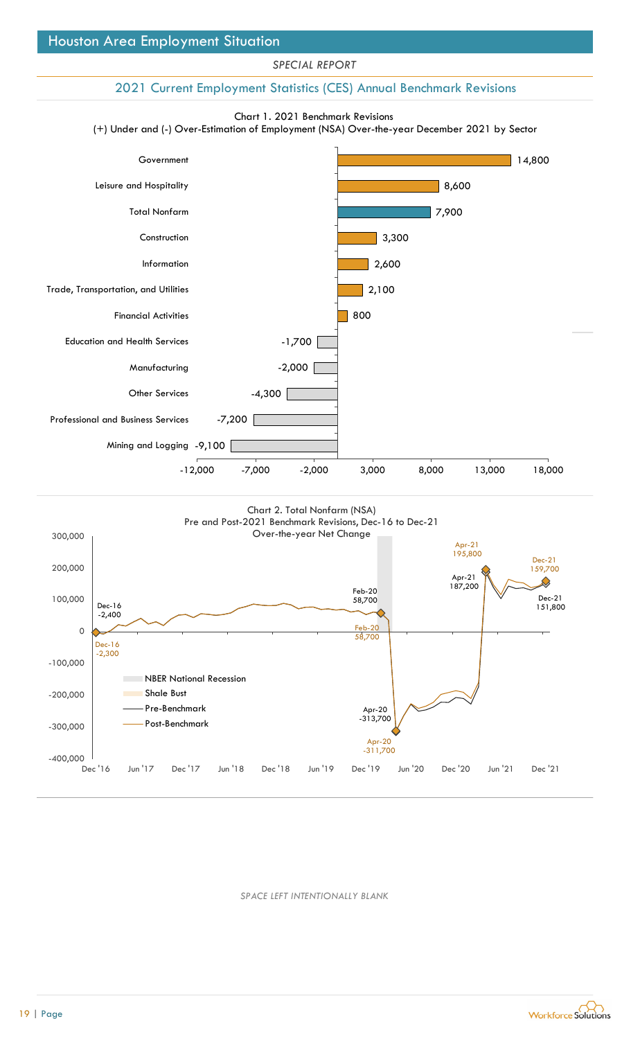## 2021 Current Employment Statistics (CES) Annual Benchmark Revisions







SPACE LEFT INTENTIONALLY BLANK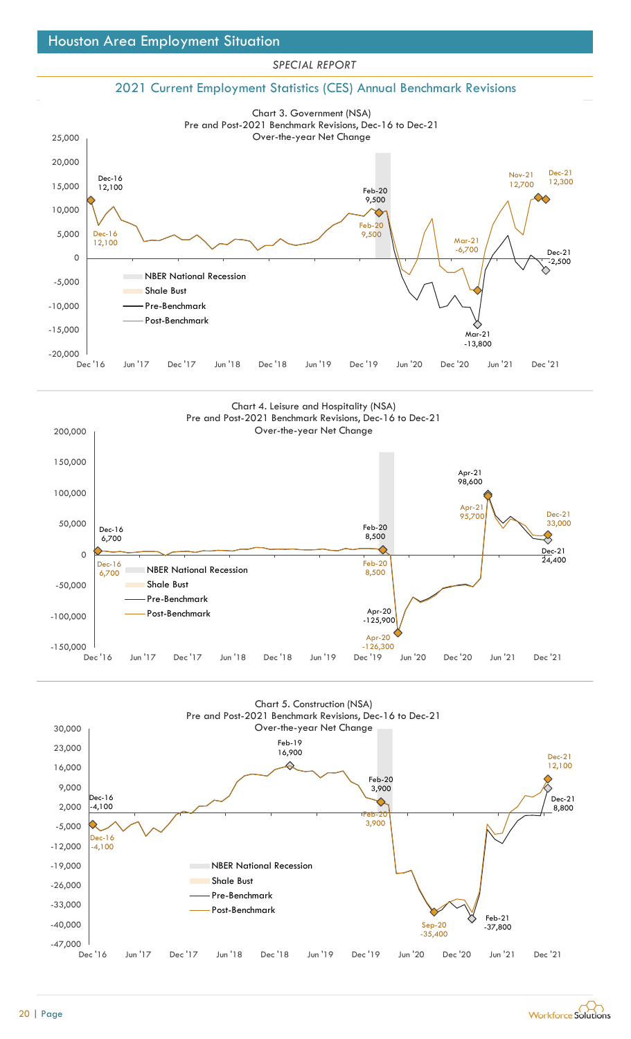#### $-20,000$ 2021 Current Employment Statistics (CES) Annual Benchmark Revisions Dec-16<br>12,100  $12,100$ 9,500  $\qquad \qquad \qquad \qquad \qquad$ Mar-21 and the contract of the contract of the contract of the contract of the contract of the contract of the contract of the contract of the contract of the contract of the contract of the contract of the contract of the  $-13,800$ Dec-21<br>-2,500  $-2,500$ Dec-16  $\sim$   $\sim$   $\sim$  $5,000$   $\left| \frac{Dec-16}{12,100} \right|$ Feb-20<br>9,500 9,500  $\bigwedge$   $\bigwedge$  Mar-21  $\bigwedge$   $\bigvee$ Mar-21<br>-6,700 Nov-21 Dec-21 Nov-21<br>12,700 12,300 -15,000 -10,000 Pre-Benchmark -5,000 NBER National Recession 0 10,000 15,000 20,000 25,000 Chart 3. Government (NSA)<br>
Dec 16<br>
Dec 16<br>
Dec 16<br>
Dec 16<br>
Dec 16<br>
Dec 16<br>
Dec 16<br>
Dec 16<br>
Dec 16<br>
Dec 17 Jun 18 Dec 18 Jun 19 Dec 19 Jun 20 Dec 20 Jun 21 Dec 21<br>
Dec 16<br>
Dec 16<br>
Dec 17 Jun 18 Dec 18 Jun 19 Dec 19 Jun 20 Chart 3. Government (NSA) Pre and Post-2021 Benchmark Revisions, Dec-16 to Dec-21 Over-the-year Net Change Shale Bust Post-Benchmark

SPECIAL REPORT





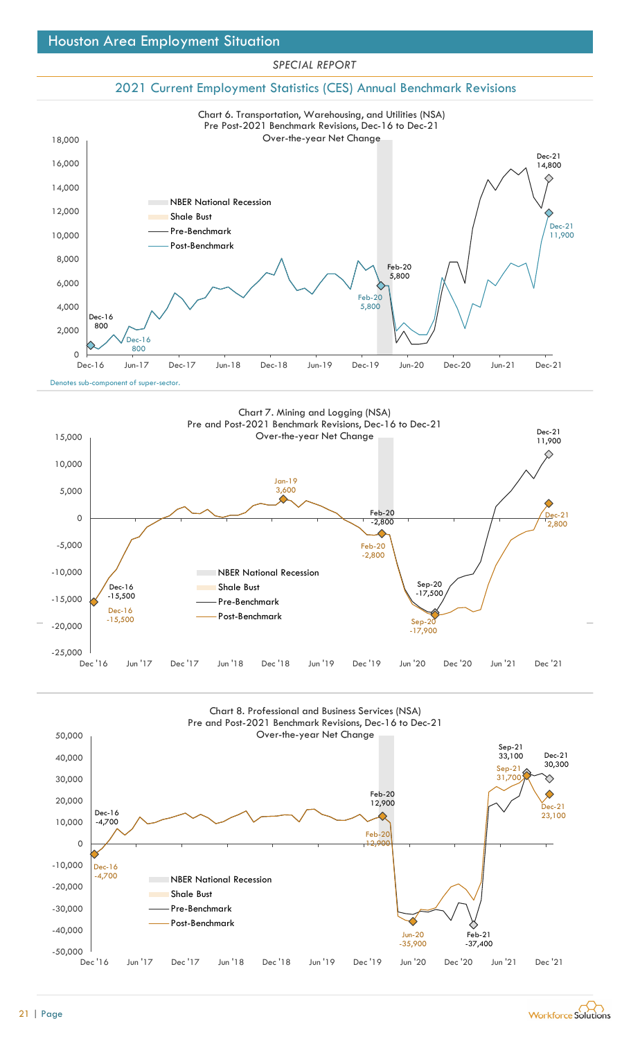## 2021 Current Employment Statistics (CES) Annual Benchmark Revisions







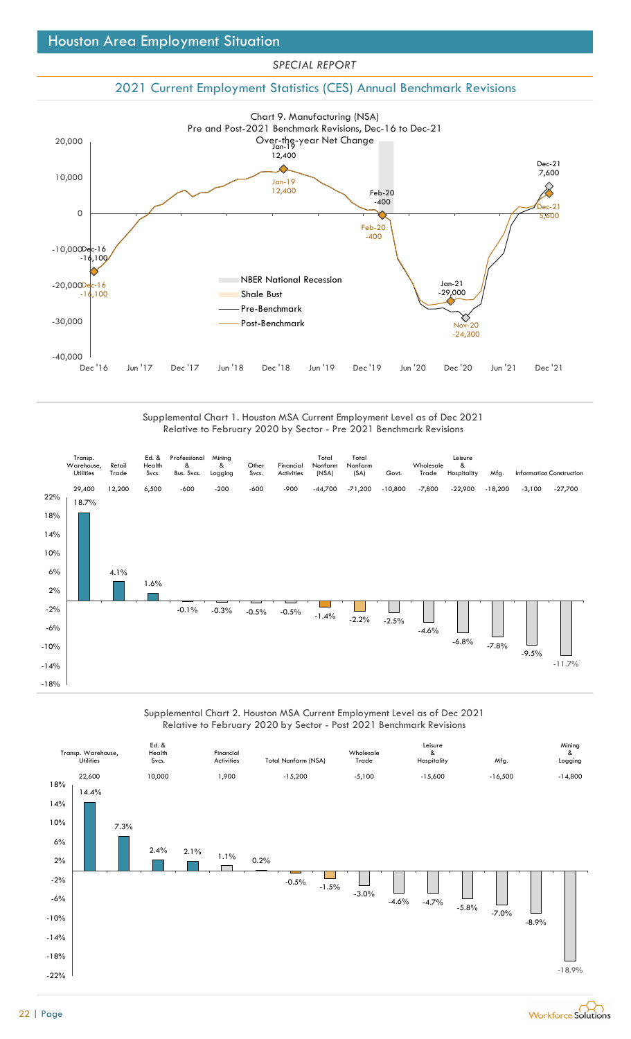## 2021 Current Employment Statistics (CES) Annual Benchmark Revisions



Supplemental Chart 1. Houston MSA Current Employment Level as of Dec 2021



## Supplemental Chart 2. Houston MSA Current Employment Level as of Dec 2021